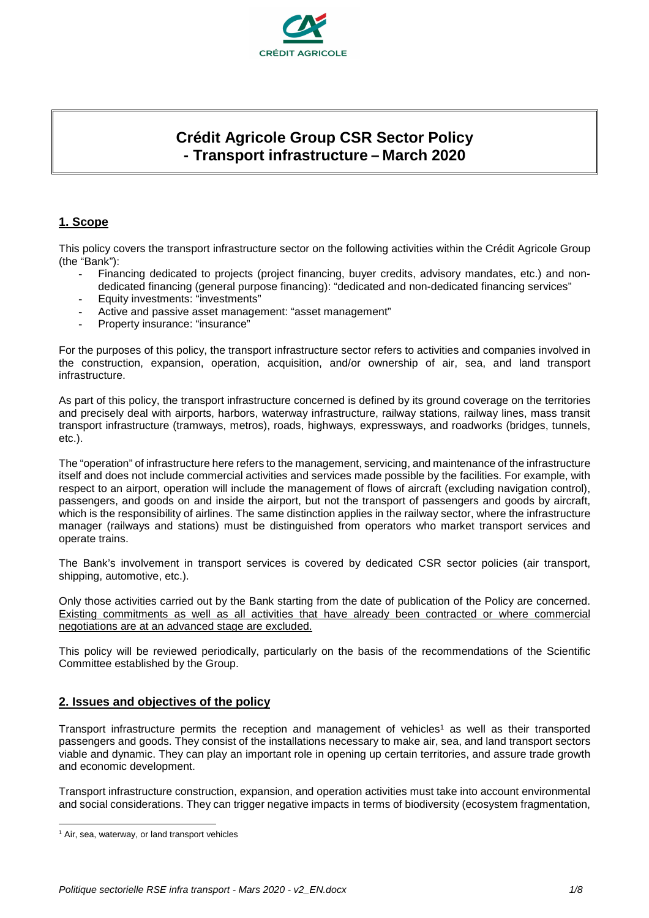

# **Crédit Agricole Group CSR Sector Policy - Transport infrastructure – March 2020**

# **1. Scope**

This policy covers the transport infrastructure sector on the following activities within the Crédit Agricole Group (the "Bank"):

- Financing dedicated to projects (project financing, buyer credits, advisory mandates, etc.) and nondedicated financing (general purpose financing): "dedicated and non-dedicated financing services"
- Equity investments: "investments"
- Active and passive asset management: "asset management"
- Property insurance: "insurance"

For the purposes of this policy, the transport infrastructure sector refers to activities and companies involved in the construction, expansion, operation, acquisition, and/or ownership of air, sea, and land transport infrastructure.

As part of this policy, the transport infrastructure concerned is defined by its ground coverage on the territories and precisely deal with airports, harbors, waterway infrastructure, railway stations, railway lines, mass transit transport infrastructure (tramways, metros), roads, highways, expressways, and roadworks (bridges, tunnels, etc.).

The "operation" of infrastructure here refers to the management, servicing, and maintenance of the infrastructure itself and does not include commercial activities and services made possible by the facilities. For example, with respect to an airport, operation will include the management of flows of aircraft (excluding navigation control), passengers, and goods on and inside the airport, but not the transport of passengers and goods by aircraft, which is the responsibility of airlines. The same distinction applies in the railway sector, where the infrastructure manager (railways and stations) must be distinguished from operators who market transport services and operate trains.

The Bank's involvement in transport services is covered by dedicated CSR sector policies (air transport, shipping, automotive, etc.).

Only those activities carried out by the Bank starting from the date of publication of the Policy are concerned. Existing commitments as well as all activities that have already been contracted or where commercial negotiations are at an advanced stage are excluded.

This policy will be reviewed periodically, particularly on the basis of the recommendations of the Scientific Committee established by the Group.

# **2. Issues and objectives of the policy**

Transport infrastructure permits the reception and management of vehicles<sup>1</sup> as well as their transported passengers and goods. They consist of the installations necessary to make air, sea, and land transport sectors viable and dynamic. They can play an important role in opening up certain territories, and assure trade growth and economic development.

Transport infrastructure construction, expansion, and operation activities must take into account environmental and social considerations. They can trigger negative impacts in terms of biodiversity (ecosystem fragmentation,

 $\overline{a}$ <sup>1</sup> Air, sea, waterway, or land transport vehicles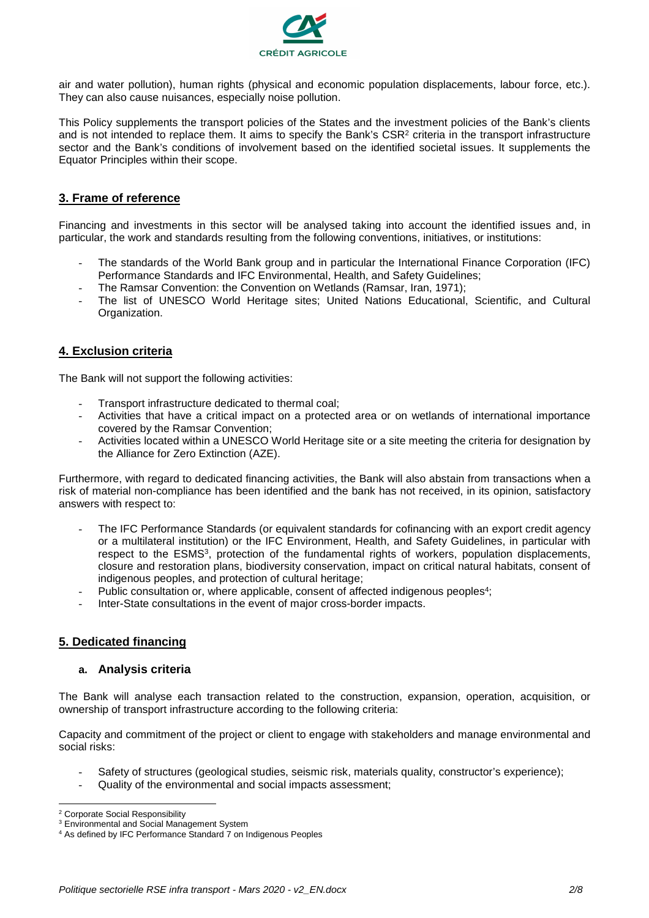

air and water pollution), human rights (physical and economic population displacements, labour force, etc.). They can also cause nuisances, especially noise pollution.

This Policy supplements the transport policies of the States and the investment policies of the Bank's clients and is not intended to replace them. It aims to specify the Bank's  $\text{CSR}^2$  criteria in the transport infrastructure sector and the Bank's conditions of involvement based on the identified societal issues. It supplements the Equator Principles within their scope.

# **3. Frame of reference**

Financing and investments in this sector will be analysed taking into account the identified issues and, in particular, the work and standards resulting from the following conventions, initiatives, or institutions:

- The standards of the World Bank group and in particular the International Finance Corporation (IFC) Performance Standards and IFC Environmental, Health, and Safety Guidelines;
- The Ramsar Convention: the Convention on Wetlands (Ramsar, Iran, 1971);
- The list of UNESCO World Heritage sites; United Nations Educational, Scientific, and Cultural Organization.

## **4. Exclusion criteria**

The Bank will not support the following activities:

- Transport infrastructure dedicated to thermal coal;
- Activities that have a critical impact on a protected area or on wetlands of international importance covered by the Ramsar Convention;
- Activities located within a UNESCO World Heritage site or a site meeting the criteria for designation by the Alliance for Zero Extinction (AZE).

Furthermore, with regard to dedicated financing activities, the Bank will also abstain from transactions when a risk of material non-compliance has been identified and the bank has not received, in its opinion, satisfactory answers with respect to:

- The IFC Performance Standards (or equivalent standards for cofinancing with an export credit agency or a multilateral institution) or the IFC Environment, Health, and Safety Guidelines, in particular with respect to the ESMS<sup>3</sup>, protection of the fundamental rights of workers, population displacements, closure and restoration plans, biodiversity conservation, impact on critical natural habitats, consent of indigenous peoples, and protection of cultural heritage;
- Public consultation or, where applicable, consent of affected indigenous peoples<sup>4</sup>;
- Inter-State consultations in the event of major cross-border impacts.

# **5. Dedicated financing**

## **a. Analysis criteria**

The Bank will analyse each transaction related to the construction, expansion, operation, acquisition, or ownership of transport infrastructure according to the following criteria:

Capacity and commitment of the project or client to engage with stakeholders and manage environmental and social risks:

- Safety of structures (geological studies, seismic risk, materials quality, constructor's experience);
- Quality of the environmental and social impacts assessment;

 $\overline{a}$ 

<sup>&</sup>lt;sup>2</sup> Corporate Social Responsibility

<sup>&</sup>lt;sup>3</sup> Environmental and Social Management System

<sup>4</sup> As defined by IFC Performance Standard 7 on Indigenous Peoples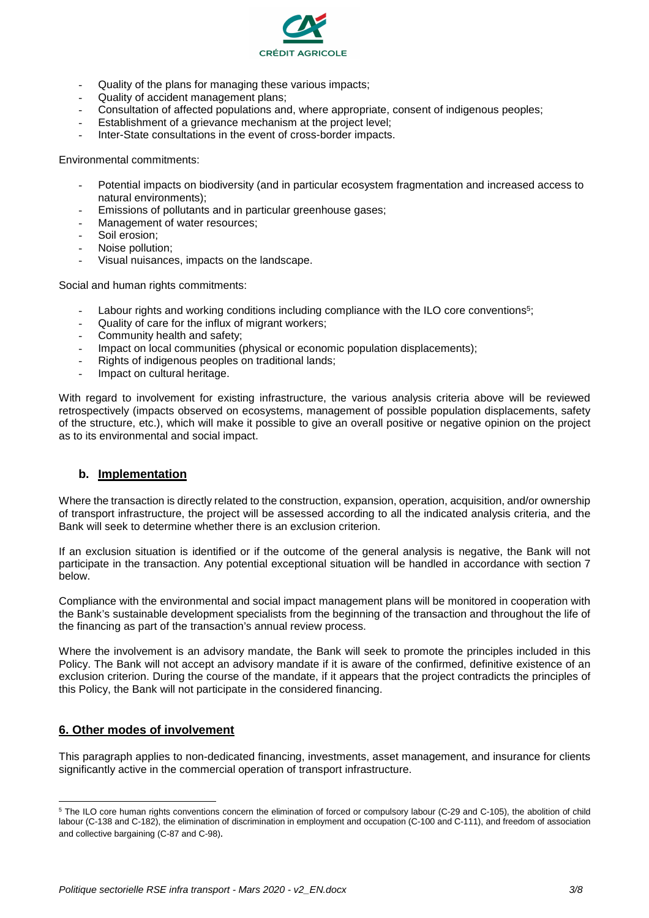

- Quality of the plans for managing these various impacts;
- Quality of accident management plans;
- Consultation of affected populations and, where appropriate, consent of indigenous peoples;
- Establishment of a grievance mechanism at the project level;
- Inter-State consultations in the event of cross-border impacts.

Environmental commitments:

- Potential impacts on biodiversity (and in particular ecosystem fragmentation and increased access to natural environments);
- Emissions of pollutants and in particular greenhouse gases;
- Management of water resources;
- Soil erosion:
- Noise pollution:
- Visual nuisances, impacts on the landscape.

Social and human rights commitments:

- Labour rights and working conditions including compliance with the ILO core conventions<sup>5</sup>;
- Quality of care for the influx of migrant workers;
- Community health and safety;
- Impact on local communities (physical or economic population displacements);
- Rights of indigenous peoples on traditional lands;
- Impact on cultural heritage.

With regard to involvement for existing infrastructure, the various analysis criteria above will be reviewed retrospectively (impacts observed on ecosystems, management of possible population displacements, safety of the structure, etc.), which will make it possible to give an overall positive or negative opinion on the project as to its environmental and social impact.

## **b. Implementation**

Where the transaction is directly related to the construction, expansion, operation, acquisition, and/or ownership of transport infrastructure, the project will be assessed according to all the indicated analysis criteria, and the Bank will seek to determine whether there is an exclusion criterion.

If an exclusion situation is identified or if the outcome of the general analysis is negative, the Bank will not participate in the transaction. Any potential exceptional situation will be handled in accordance with section 7 below.

Compliance with the environmental and social impact management plans will be monitored in cooperation with the Bank's sustainable development specialists from the beginning of the transaction and throughout the life of the financing as part of the transaction's annual review process.

Where the involvement is an advisory mandate, the Bank will seek to promote the principles included in this Policy. The Bank will not accept an advisory mandate if it is aware of the confirmed, definitive existence of an exclusion criterion. During the course of the mandate, if it appears that the project contradicts the principles of this Policy, the Bank will not participate in the considered financing.

## **6. Other modes of involvement**

This paragraph applies to non-dedicated financing, investments, asset management, and insurance for clients significantly active in the commercial operation of transport infrastructure.

<sup>&</sup>lt;sup>5</sup> The ILO core human rights conventions concern the elimination of forced or compulsory labour (C-29 and C-105), the abolition of child labour (C-138 and C-182), the elimination of discrimination in employment and occupation (C-100 and C-111), and freedom of association and collective bargaining (C-87 and C-98).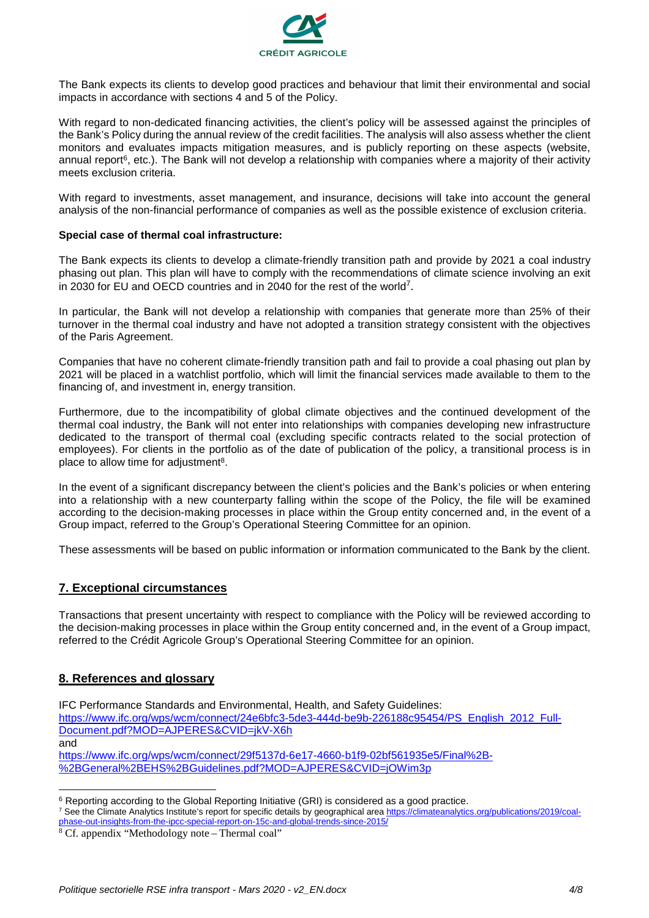

The Bank expects its clients to develop good practices and behaviour that limit their environmental and social impacts in accordance with sections 4 and 5 of the Policy.

With regard to non-dedicated financing activities, the client's policy will be assessed against the principles of the Bank's Policy during the annual review of the credit facilities. The analysis will also assess whether the client monitors and evaluates impacts mitigation measures, and is publicly reporting on these aspects (website, annual report<sup>6</sup>, etc.). The Bank will not develop a relationship with companies where a majority of their activity meets exclusion criteria.

With regard to investments, asset management, and insurance, decisions will take into account the general analysis of the non-financial performance of companies as well as the possible existence of exclusion criteria.

#### **Special case of thermal coal infrastructure:**

The Bank expects its clients to develop a climate-friendly transition path and provide by 2021 a coal industry phasing out plan. This plan will have to comply with the recommendations of climate science involving an exit in 2030 for EU and OECD countries and in 2040 for the rest of the world<sup>7</sup>.

In particular, the Bank will not develop a relationship with companies that generate more than 25% of their turnover in the thermal coal industry and have not adopted a transition strategy consistent with the objectives of the Paris Agreement.

Companies that have no coherent climate-friendly transition path and fail to provide a coal phasing out plan by 2021 will be placed in a watchlist portfolio, which will limit the financial services made available to them to the financing of, and investment in, energy transition.

Furthermore, due to the incompatibility of global climate objectives and the continued development of the thermal coal industry, the Bank will not enter into relationships with companies developing new infrastructure dedicated to the transport of thermal coal (excluding specific contracts related to the social protection of employees). For clients in the portfolio as of the date of publication of the policy, a transitional process is in place to allow time for adjustment<sup>8</sup>.

In the event of a significant discrepancy between the client's policies and the Bank's policies or when entering into a relationship with a new counterparty falling within the scope of the Policy, the file will be examined according to the decision-making processes in place within the Group entity concerned and, in the event of a Group impact, referred to the Group's Operational Steering Committee for an opinion.

These assessments will be based on public information or information communicated to the Bank by the client.

# **7. Exceptional circumstances**

Transactions that present uncertainty with respect to compliance with the Policy will be reviewed according to the decision-making processes in place within the Group entity concerned and, in the event of a Group impact, referred to the Crédit Agricole Group's Operational Steering Committee for an opinion.

## **8. References and glossary**

 $\overline{a}$ 

IFC Performance Standards and Environmental, Health, and Safety Guidelines: https://www.ifc.org/wps/wcm/connect/24e6bfc3-5de3-444d-be9b-226188c95454/PS\_English\_2012\_Full-Document.pdf?MOD=AJPERES&CVID=jkV-X6h and https://www.ifc.org/wps/wcm/connect/29f5137d-6e17-4660-b1f9-02bf561935e5/Final%2B- %2BGeneral%2BEHS%2BGuidelines.pdf?MOD=AJPERES&CVID=jOWim3p

<sup>&</sup>lt;sup>6</sup> Reporting according to the Global Reporting Initiative (GRI) is considered as a good practice.

<sup>&</sup>lt;sup>7</sup> See the Climate Analytics Institute's report for specific details by geographical area https://climateanalytics.org/publications/2019/coalphase-out-insights-from-the-ipcc-special-report-on-15c-and-global-trends-since-2015/

<sup>8</sup> Cf. appendix "Methodology note – Thermal coal"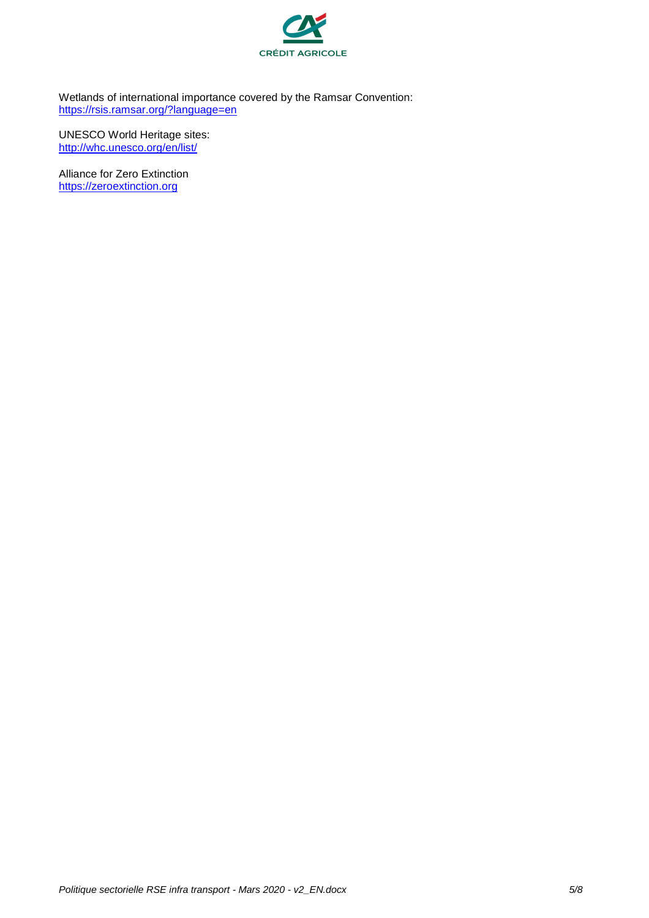

Wetlands of international importance covered by the Ramsar Convention: https://rsis.ramsar.org/?language=en

UNESCO World Heritage sites: http://whc.unesco.org/en/list/

Alliance for Zero Extinction https://zeroextinction.org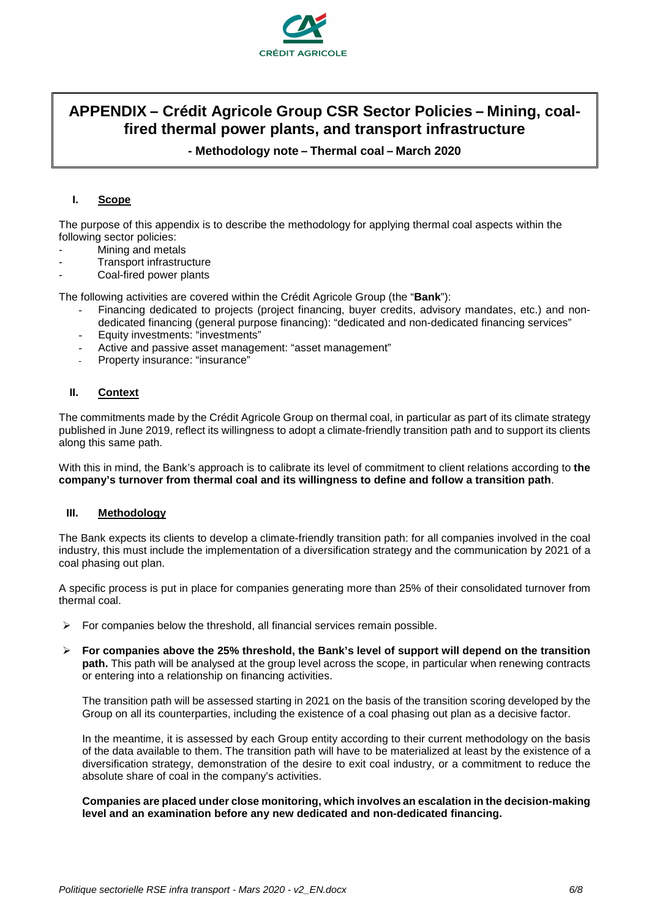

# **APPENDIX – Crédit Agricole Group CSR Sector Policies – Mining, coalfired thermal power plants, and transport infrastructure**

**- Methodology note – Thermal coal – March 2020**

#### **I. Scope**

The purpose of this appendix is to describe the methodology for applying thermal coal aspects within the following sector policies:

- Mining and metals
- Transport infrastructure
- Coal-fired power plants

The following activities are covered within the Crédit Agricole Group (the "**Bank**"):

- Financing dedicated to projects (project financing, buyer credits, advisory mandates, etc.) and nondedicated financing (general purpose financing): "dedicated and non-dedicated financing services"
- Equity investments: "investments"
- Active and passive asset management: "asset management"
- Property insurance: "insurance"

## **II. Context**

The commitments made by the Crédit Agricole Group on thermal coal, in particular as part of its climate strategy published in June 2019, reflect its willingness to adopt a climate-friendly transition path and to support its clients along this same path.

With this in mind, the Bank's approach is to calibrate its level of commitment to client relations according to **the company's turnover from thermal coal and its willingness to define and follow a transition path**.

#### **III. Methodology**

The Bank expects its clients to develop a climate-friendly transition path: for all companies involved in the coal industry, this must include the implementation of a diversification strategy and the communication by 2021 of a coal phasing out plan.

A specific process is put in place for companies generating more than 25% of their consolidated turnover from thermal coal.

- $\triangleright$  For companies below the threshold, all financial services remain possible.
- **For companies above the 25% threshold, the Bank's level of support will depend on the transition path.** This path will be analysed at the group level across the scope, in particular when renewing contracts or entering into a relationship on financing activities.

The transition path will be assessed starting in 2021 on the basis of the transition scoring developed by the Group on all its counterparties, including the existence of a coal phasing out plan as a decisive factor.

In the meantime, it is assessed by each Group entity according to their current methodology on the basis of the data available to them. The transition path will have to be materialized at least by the existence of a diversification strategy, demonstration of the desire to exit coal industry, or a commitment to reduce the absolute share of coal in the company's activities.

**Companies are placed under close monitoring, which involves an escalation in the decision-making level and an examination before any new dedicated and non-dedicated financing.**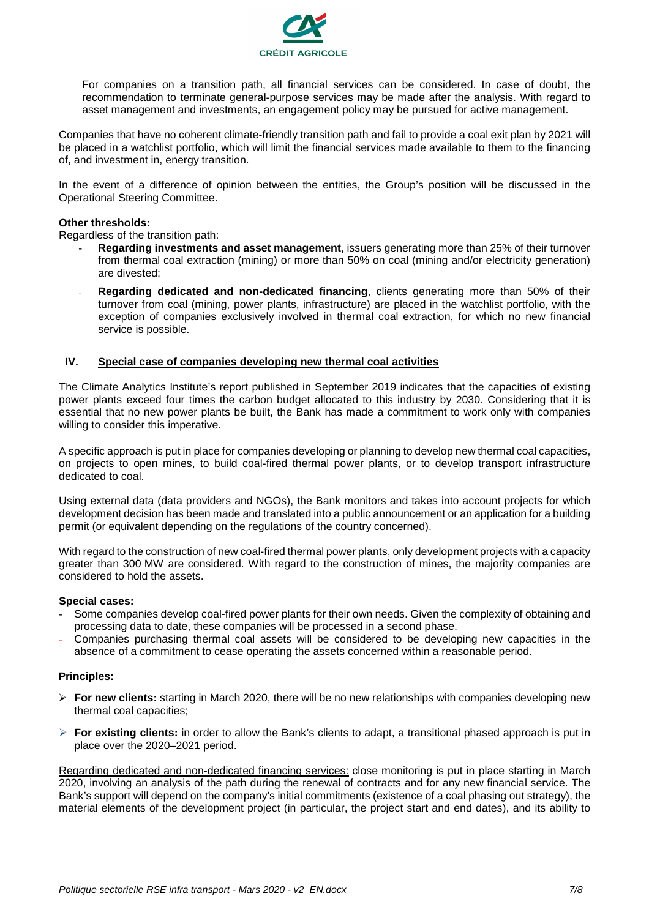

For companies on a transition path, all financial services can be considered. In case of doubt, the recommendation to terminate general-purpose services may be made after the analysis. With regard to asset management and investments, an engagement policy may be pursued for active management.

Companies that have no coherent climate-friendly transition path and fail to provide a coal exit plan by 2021 will be placed in a watchlist portfolio, which will limit the financial services made available to them to the financing of, and investment in, energy transition.

In the event of a difference of opinion between the entities, the Group's position will be discussed in the Operational Steering Committee.

#### **Other thresholds:**

Regardless of the transition path:

- **Regarding investments and asset management**, issuers generating more than 25% of their turnover from thermal coal extraction (mining) or more than 50% on coal (mining and/or electricity generation) are divested;
- Regarding dedicated and non-dedicated financing, clients generating more than 50% of their turnover from coal (mining, power plants, infrastructure) are placed in the watchlist portfolio, with the exception of companies exclusively involved in thermal coal extraction, for which no new financial service is possible.

#### **IV. Special case of companies developing new thermal coal activities**

The Climate Analytics Institute's report published in September 2019 indicates that the capacities of existing power plants exceed four times the carbon budget allocated to this industry by 2030. Considering that it is essential that no new power plants be built, the Bank has made a commitment to work only with companies willing to consider this imperative.

A specific approach is put in place for companies developing or planning to develop new thermal coal capacities, on projects to open mines, to build coal-fired thermal power plants, or to develop transport infrastructure dedicated to coal.

Using external data (data providers and NGOs), the Bank monitors and takes into account projects for which development decision has been made and translated into a public announcement or an application for a building permit (or equivalent depending on the regulations of the country concerned).

With regard to the construction of new coal-fired thermal power plants, only development projects with a capacity greater than 300 MW are considered. With regard to the construction of mines, the majority companies are considered to hold the assets.

#### **Special cases:**

- Some companies develop coal-fired power plants for their own needs. Given the complexity of obtaining and processing data to date, these companies will be processed in a second phase.
- Companies purchasing thermal coal assets will be considered to be developing new capacities in the absence of a commitment to cease operating the assets concerned within a reasonable period.

## **Principles:**

- **For new clients:** starting in March 2020, there will be no new relationships with companies developing new thermal coal capacities;
- **For existing clients:** in order to allow the Bank's clients to adapt, a transitional phased approach is put in place over the 2020–2021 period.

Regarding dedicated and non-dedicated financing services: close monitoring is put in place starting in March 2020, involving an analysis of the path during the renewal of contracts and for any new financial service. The Bank's support will depend on the company's initial commitments (existence of a coal phasing out strategy), the material elements of the development project (in particular, the project start and end dates), and its ability to